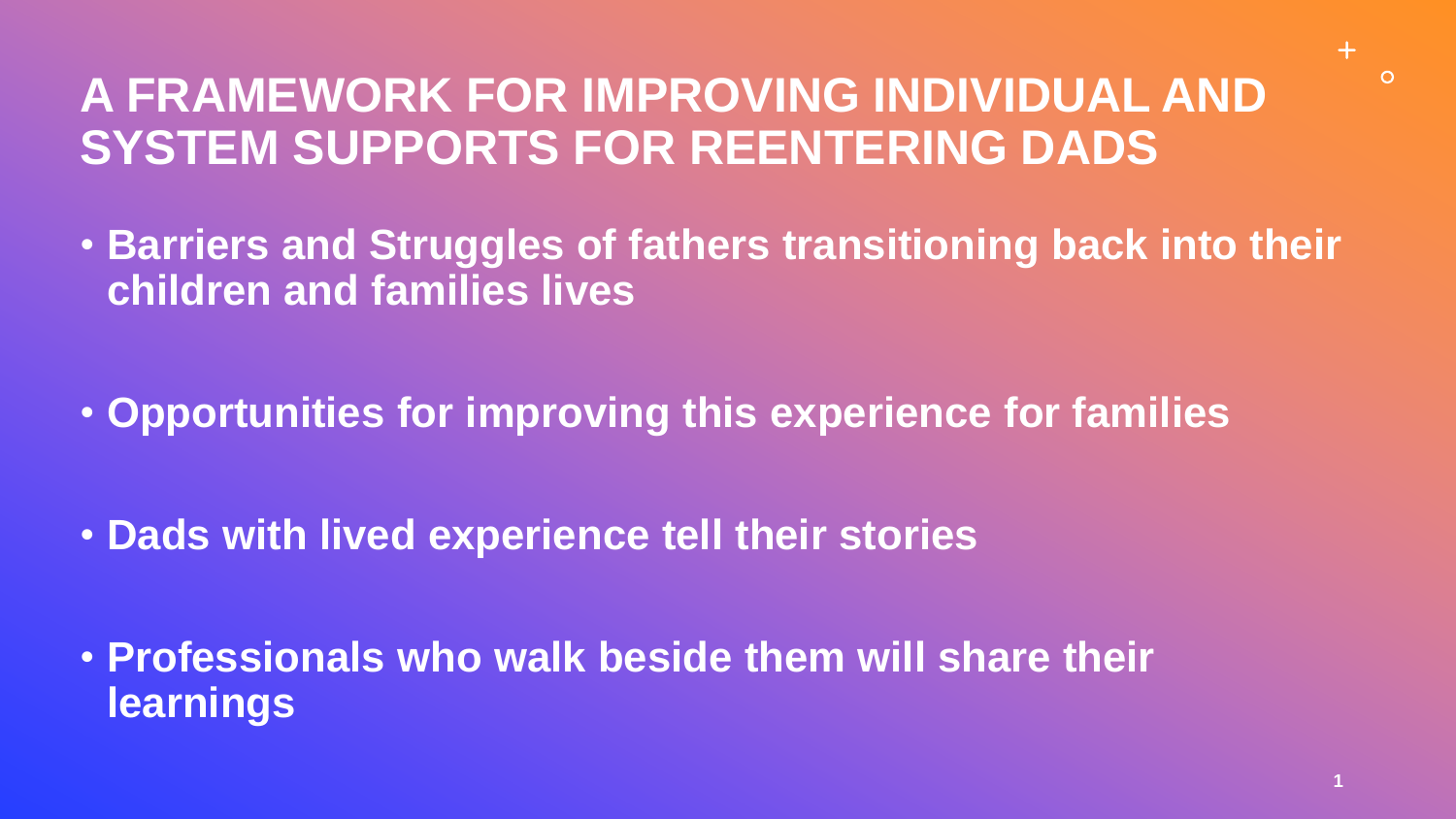## **A FRAMEWORK FOR IMPROVING INDIVIDUAL AND SYSTEM SUPPORTS FOR REENTERING DADS**

- **Barriers and Struggles of fathers transitioning back into their children and families lives**
- **Opportunities for improving this experience for families**
- **Dads with lived experience tell their stories**
- **Professionals who walk beside them will share their learnings**

 $+$ 

 $\circ$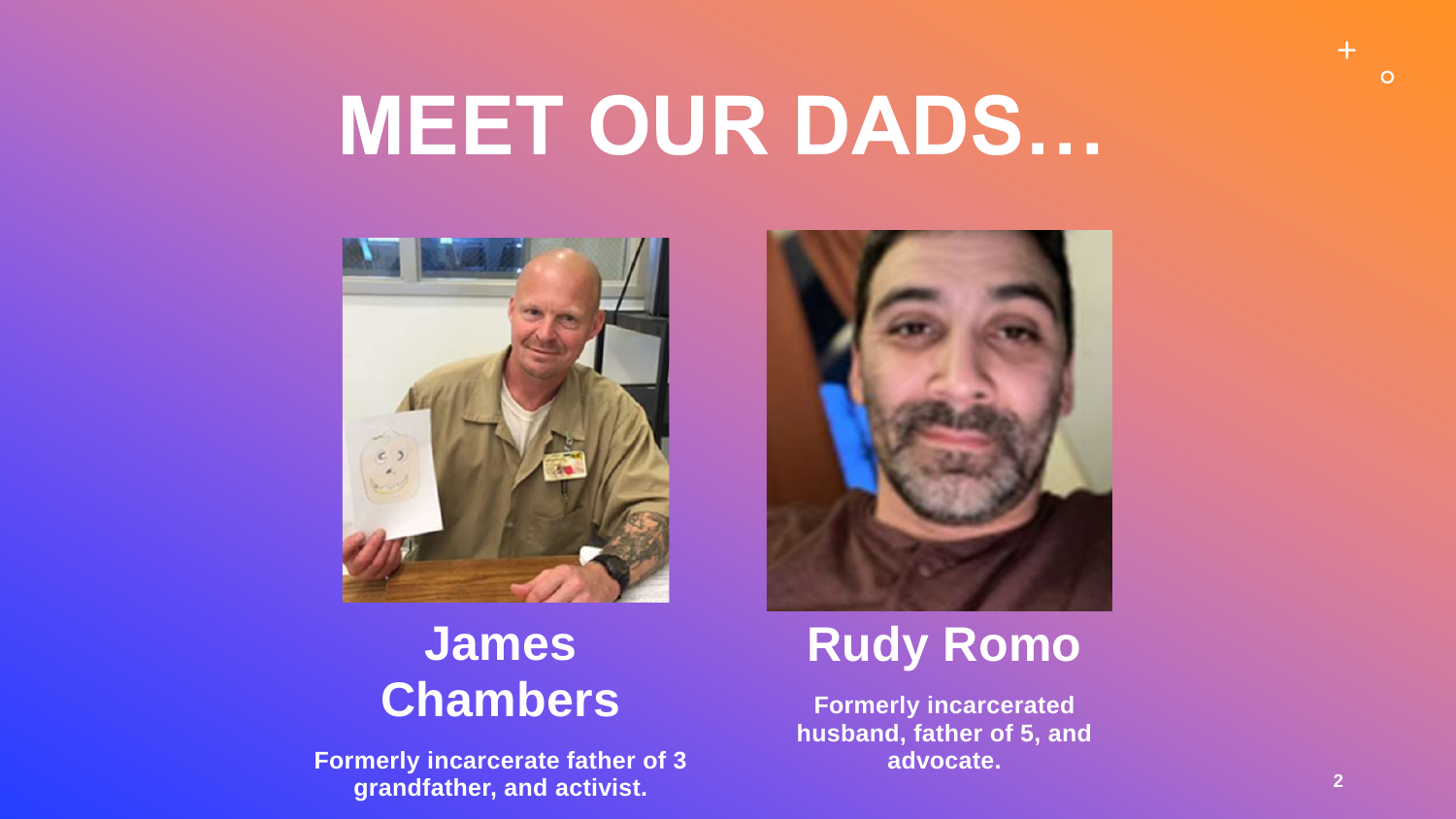## **MEET OUR DADS…**



### **James Chambers**

**Formerly incarcerate father of 3 grandfather, and activist.** 



## **Rudy Romo**

**Formerly incarcerated husband, father of 5, and advocate.**

 $+$ 

 $\circ$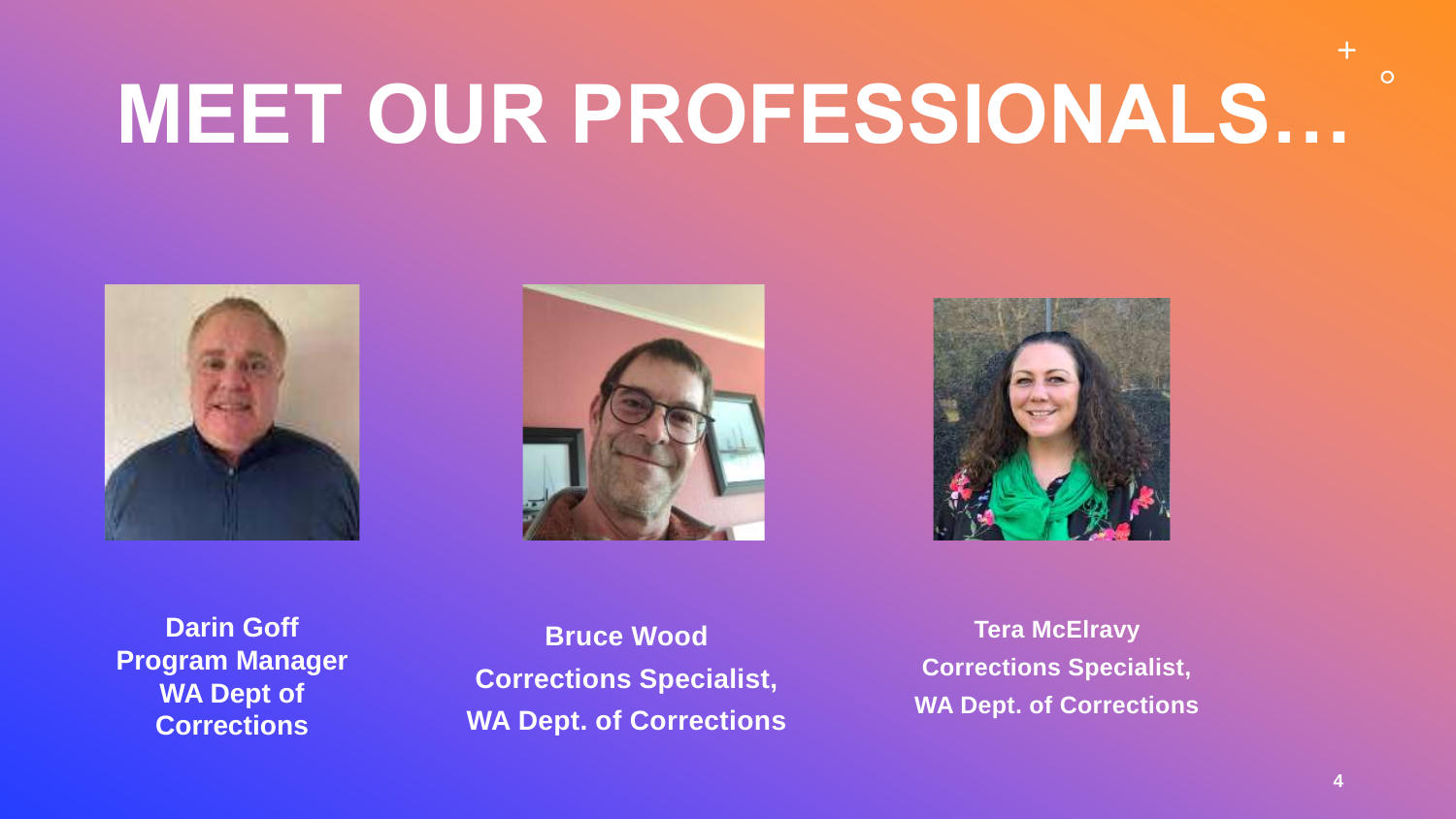# **MEET OUR PROFESSIONALS…**







**Darin Goff Program Manager WA Dept of Corrections**

**Bruce Wood Corrections Specialist, WA Dept. of Corrections**

**Tera McElravy Corrections Specialist, WA Dept. of Corrections**  $\circ$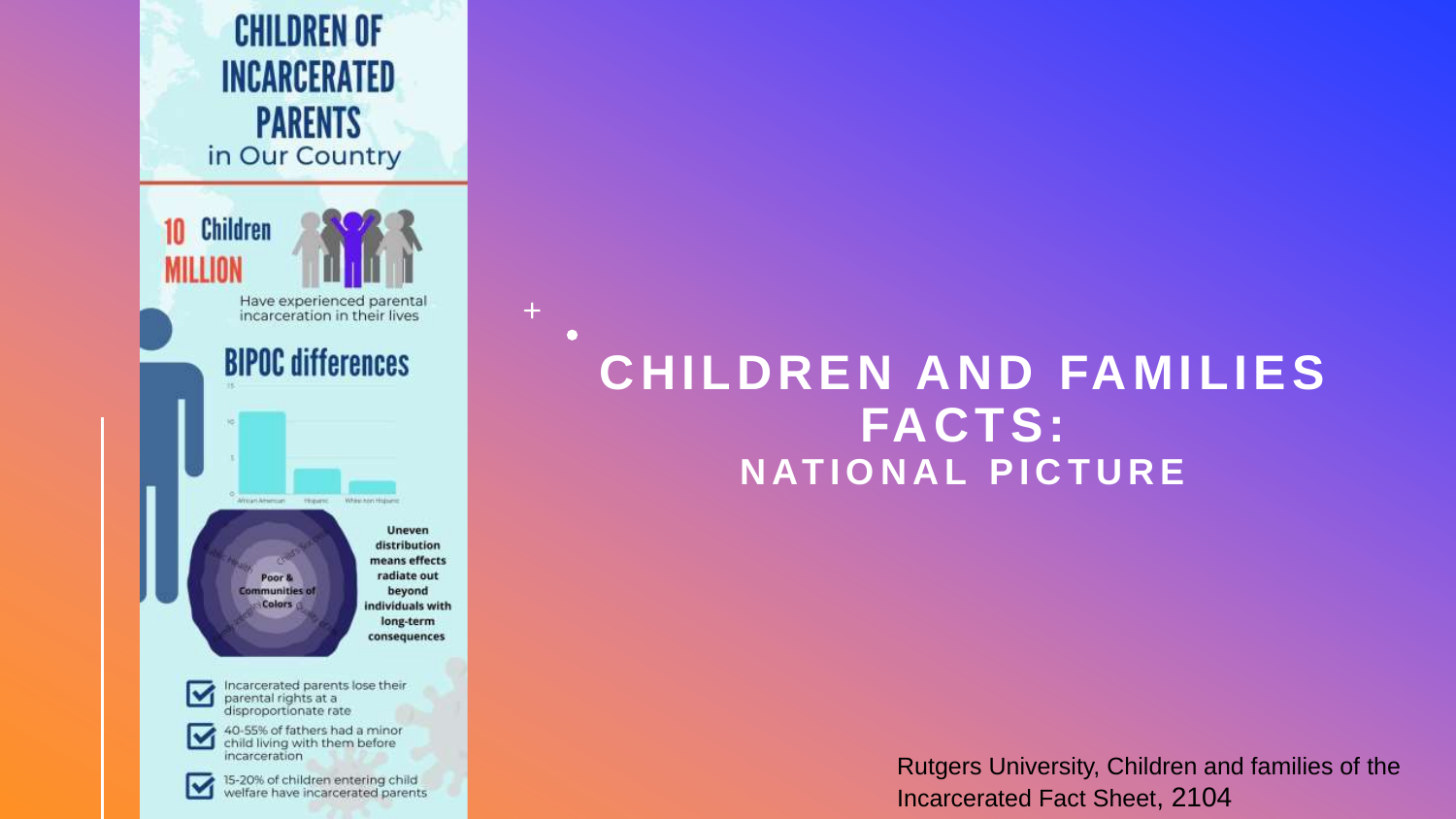

 $+$ 

 $\bullet$ 

### **CHILDREN AND FAMILIES FACTS: NATIONAL PICTURE**

Rutgers University, Children and families of the Incarcerated Fact Sheet, 2104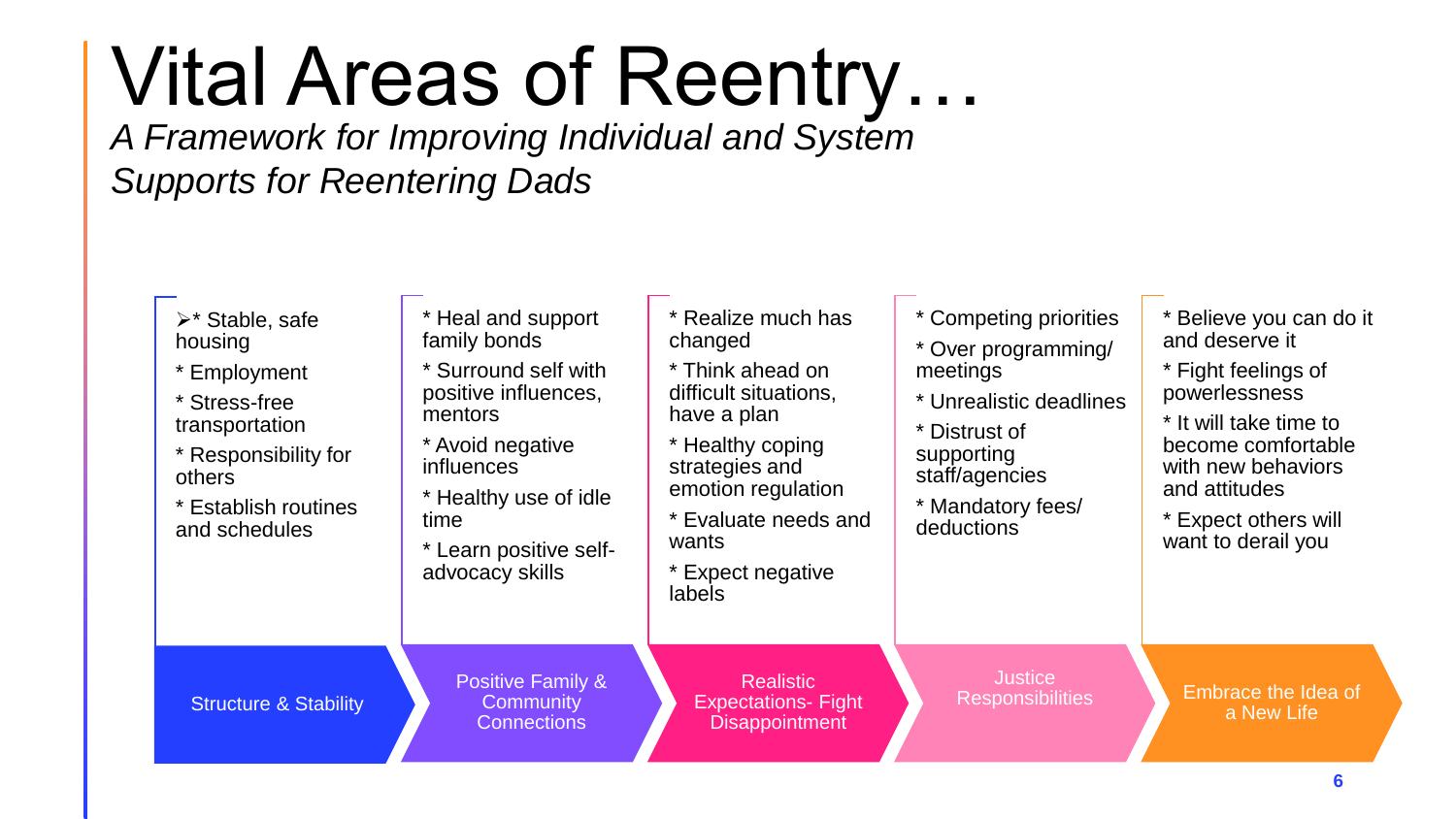## Vital Areas of Reentry…

*A Framework for Improving Individual and System Supports for Reentering Dads*

| $\triangleright^*$ Stable, safe<br>housing<br>* Employment<br>* Stress-free<br>transportation<br>* Responsibility for<br>others<br>* Establish routines<br>and schedules | Heal and support<br>family bonds<br>Surround self with<br>positive influences,<br>mentors<br>* Avoid negative<br><i>influences</i><br>Healthy use of idle<br>time<br>Learn positive self-<br>advocacy skills | * Realize much has<br>changed<br>* Think ahead on<br>difficult situations,<br>have a plan<br>Healthy coping<br>strategies and<br>emotion regulation<br>Evaluate needs and<br>wants<br>* Expect negative<br>labels | * Competing priorities<br>* Over programming/<br>meetings<br>* Unrealistic deadlines<br>* Distrust of<br>supporting<br>staff/agencies<br>* Mandatory fees/<br>deductions | * Believe you can do it<br>and deserve it<br>* Fight feelings of<br>powerlessness<br>* It will take time to<br>become comfortable<br>with new behaviors<br>and attitudes<br>* Expect others will<br>want to derail you |
|--------------------------------------------------------------------------------------------------------------------------------------------------------------------------|--------------------------------------------------------------------------------------------------------------------------------------------------------------------------------------------------------------|-------------------------------------------------------------------------------------------------------------------------------------------------------------------------------------------------------------------|--------------------------------------------------------------------------------------------------------------------------------------------------------------------------|------------------------------------------------------------------------------------------------------------------------------------------------------------------------------------------------------------------------|
| <b>Structure &amp; Stability</b>                                                                                                                                         | <b>Positive Family &amp;</b><br>Community<br><b>Connections</b>                                                                                                                                              | <b>Realistic</b><br><b>Expectations- Fight</b><br><b>Disappointment</b>                                                                                                                                           | <b>Justice</b><br><b>Responsibilities</b>                                                                                                                                | Embrace the Idea of<br>a New Life                                                                                                                                                                                      |